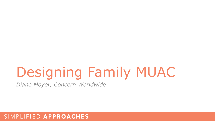# Designing Family MUAC

*Diane Moyer, Concern Worldwide*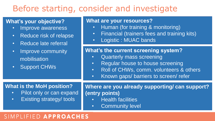# Before starting, consider and investigate

# **What's your objective?**

- Improve awareness
- Reduce risk of relapse
- Reduce late referral
- Improve community mobilisation
- Support CHWs

#### **What are your resources?**

- Human (for training & monitoring)
- Financial (trainers fees and training kits)
- Logistic : MUAC bands

### **What's the current screening system?**

- Quarterly mass screening
- Regular house to house screening
- Roll of CHWs, comm. volunteers & others
- Known gaps/ barriers to screen/ refer

### **What is the MoH position?**

- Pilot only or can expand
- Existing strategy/ tools

**Where are you already supporting/ can support? (entry points)**

- Health facilities
- Community level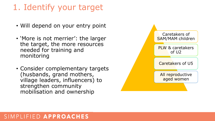# 1. Identify your target

- Will depend on your entry point
- 'More is not merrier': the larger the target, the more resources needed for training and monitoring
- Consider complementary targets (husbands, grand mothers, village leaders, influencers) to strengthen community mobilisation and ownership

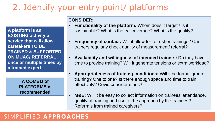# 2. Identify your entry point/ platforms

**A platform is an EXISTING activity or service that will allow caretakers TO BE TRAINED & SUPPORTED ON MUAC/ REFERRAL once or multiple times by a trained expert** 

> **A COMBO of PLATFORMS is recommended**

#### **CONSIDER:**

- **Functionality of the platform:** Whom does it target? Is it sustainable? What is the eal coverage? What is the quality?
- **Frequency of contact:** Will it allow for refresher trainings? Can trainers regularly check quality of measurement/ referral?
- **Availability and willingness of intended trainers:** Do they have time to provide training? Will it generate tensions or extra workload?
- **Appropriateness of training conditions:** Will it be formal group training? One to one? Is there enough space and time to train effectively? Covid considerations?
- **M&E:** Will it be easy to collect information on trainees' attendance, quality of training and use of the approach by the trainees? Referrals from trained caregivers?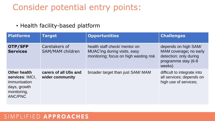# Consider potential entry points:

# • Health facility-based platform

| <b>Platforms</b>                                                                                               | <b>Target</b>                            | <b>Opportunities</b>                                                                                    | <b>Challenges</b>                                                                                         |
|----------------------------------------------------------------------------------------------------------------|------------------------------------------|---------------------------------------------------------------------------------------------------------|-----------------------------------------------------------------------------------------------------------|
| OTP/SFP<br><b>Services</b>                                                                                     | Caretakers of<br><b>SAM/MAM children</b> | health staff check/ mentor on<br>MUAC'ing during visits, easy<br>monitoring; focus on high wasting risk | depends on high SAM/<br>MAM coverage; no early<br>detection; only during<br>programme stay (6-8<br>weeks) |
| <b>Other health</b><br>services: IMCI,<br><i>immunisation</i><br>days, growth<br>monitoring,<br><b>ANC/PNC</b> | carers of all U5s and<br>wider community | broader target than just SAM/ MAM                                                                       | difficult to integrate into<br>all services; depends on<br>high use of services;                          |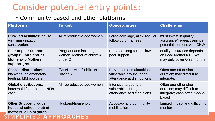# Consider potential entry points:

# • Community-based and other platforms

| <b>Platforms</b>                                                                                   | <b>Target</b>                                                  | <b>Opportunities</b>                                                                    | <b>Challenges</b>                                                                              |
|----------------------------------------------------------------------------------------------------|----------------------------------------------------------------|-----------------------------------------------------------------------------------------|------------------------------------------------------------------------------------------------|
| <b>CHW led activities: house</b><br>visit, immunization,<br>sensitization                          | All reproductive age women                                     | Large coverage, allow regular<br>follow-up of trainees                                  | must invest in quality<br>assurance/ repeat trainings;<br>potential tensions with CHW          |
| <b>Peer to peer Support</b><br>groups: Care groups,<br><b>Mothers-to Mothers</b><br>support groups | Pregnant and lactating<br>women, Mother of children<br>under 2 | repeated, long-term follow up;<br>peer support                                          | quality assurance depends<br>on Lead Mothers/ CHWs;<br>may only cover 0-23 months              |
| <b>Special distributions:</b><br>blanket supplemenatary<br>feeding, MM powders                     | Caretakers of children<br>under 2                              | Prevention of malnutrition in<br>vulnerable groups; good<br>attendance at distributions | Often one-off or short<br>duration; may difficult to<br>integrate;                             |
| <b>Global distributions:</b><br>household food rations, NFIs,<br>cash                              | All reproductive age women                                     | Intensive targeting of<br>vulnerable HHs; good<br>attendance at distributions           | Often one-off or short<br>duration; may difficult to<br>integrate; cash often mobile-<br>based |
| <b>Other Support groups:</b><br>husband school, club of<br>mothers, club of youth                  | Husband/household<br>members                                   | Advocacy and community<br>mobilisation                                                  | Limited impact and difficult to<br>monitor                                                     |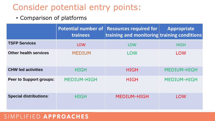# Consider potential entry points:

• Comparison of platforms

|                                | trainees           | Potential number of   Resources required for  <br>$ $ training and monitoring $ $ training conditions | <b>Appropriate</b> |
|--------------------------------|--------------------|-------------------------------------------------------------------------------------------------------|--------------------|
| <b>TSFP Services</b>           | <b>LOW</b>         | <b>LOW</b>                                                                                            | <b>HIGH</b>        |
| <b>Other health services</b>   | <b>MEDIUM</b>      | <b>LOW</b>                                                                                            | <b>LOW</b>         |
| <b>CHW led activities</b>      | <b>HIGH</b>        | <b>HIGH</b>                                                                                           | <b>MEDIUM-HIGH</b> |
| <b>Peer to Support groups:</b> | <b>MEDIUM-HIGH</b> | <b>HIGH</b>                                                                                           | <b>MEDIUM-HIGH</b> |
| <b>Special distributions:</b>  | <b>HIGH</b>        | <b>MEDIUM-HIGH</b>                                                                                    | <b>LOW</b>         |